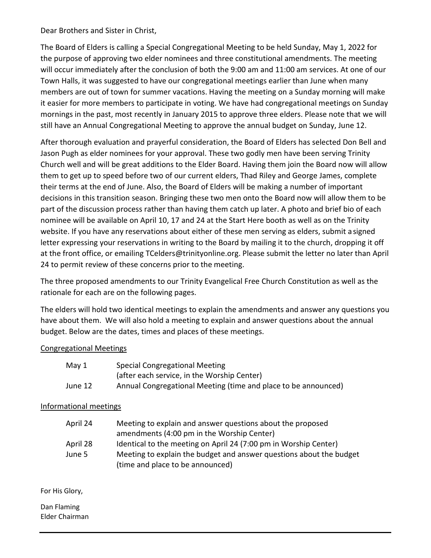Dear Brothers and Sister in Christ,

The Board of Elders is calling a Special Congregational Meeting to be held Sunday, May 1, 2022 for the purpose of approving two elder nominees and three constitutional amendments. The meeting will occur immediately after the conclusion of both the 9:00 am and 11:00 am services. At one of our Town Halls, it was suggested to have our congregational meetings earlier than June when many members are out of town for summer vacations. Having the meeting on a Sunday morning will make it easier for more members to participate in voting. We have had congregational meetings on Sunday mornings in the past, most recently in January 2015 to approve three elders. Please note that we will still have an Annual Congregational Meeting to approve the annual budget on Sunday, June 12.

After thorough evaluation and prayerful consideration, the Board of Elders has selected Don Bell and Jason Pugh as elder nominees for your approval. These two godly men have been serving Trinity Church well and will be great additions to the Elder Board. Having them join the Board now will allow them to get up to speed before two of our current elders, Thad Riley and George James, complete their terms at the end of June. Also, the Board of Elders will be making a number of important decisions in this transition season. Bringing these two men onto the Board now will allow them to be part of the discussion process rather than having them catch up later. A photo and brief bio of each nominee will be available on April 10, 17 and 24 at the Start Here booth as well as on the Trinity website. If you have any reservations about either of these men serving as elders, submit a signed letter expressing your reservations in writing to the Board by mailing it to the church, dropping it off at the front office, or emailing TCelders@trinityonline.org. Please submit the letter no later than April 24 to permit review of these concerns prior to the meeting.

The three proposed amendments to our Trinity Evangelical Free Church Constitution as well as the rationale for each are on the following pages.

The elders will hold two identical meetings to explain the amendments and answer any questions you have about them. We will also hold a meeting to explain and answer questions about the annual budget. Below are the dates, times and places of these meetings.

# Congregational Meetings

| May 1   | <b>Special Congregational Meeting</b>                          |
|---------|----------------------------------------------------------------|
|         | (after each service, in the Worship Center)                    |
| June 12 | Annual Congregational Meeting (time and place to be announced) |

# Informational meetings

| April 24 | Meeting to explain and answer questions about the proposed          |
|----------|---------------------------------------------------------------------|
|          | amendments (4:00 pm in the Worship Center)                          |
| April 28 | Identical to the meeting on April 24 (7:00 pm in Worship Center)    |
| June 5   | Meeting to explain the budget and answer questions about the budget |
|          | (time and place to be announced)                                    |

For His Glory,

Dan Flaming Elder Chairman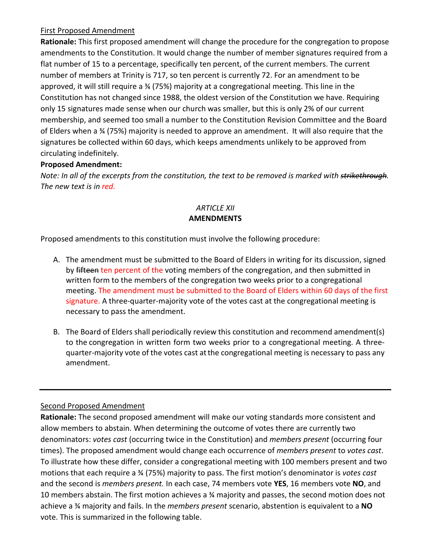# First Proposed Amendment

**Rationale:** This first proposed amendment will change the procedure for the congregation to propose amendments to the Constitution. It would change the number of member signatures required from a flat number of 15 to a percentage, specifically ten percent, of the current members. The current number of members at Trinity is 717, so ten percent is currently 72. For an amendment to be approved, it will still require a ¾ (75%) majority at a congregational meeting. This line in the Constitution has not changed since 1988, the oldest version of the Constitution we have. Requiring only 15 signatures made sense when our church was smaller, but this is only 2% of our current membership, and seemed too small a number to the Constitution Revision Committee and the Board of Elders when a ¾ (75%) majority is needed to approve an amendment. It will also require that the signatures be collected within 60 days, which keeps amendments unlikely to be approved from circulating indefinitely.

# **Proposed Amendment:**

*Note: In all of the excerpts from the constitution, the text to be removed is marked with strikethrough. The new text is in red.*

# *ARTICLE XII* **AMENDMENTS**

Proposed amendments to this constitution must involve the following procedure:

- A. The amendment must be submitted to the Board of Elders in writing for its discussion, signed by fifteen ten percent of the voting members of the congregation, and then submitted in written form to the members of the congregation two weeks prior to a congregational meeting. The amendment must be submitted to the Board of Elders within 60 days of the first signature. A three-quarter-majority vote of the votes cast at the congregational meeting is necessary to pass the amendment.
- B. The Board of Elders shall periodically review this constitution and recommend amendment(s) to the congregation in written form two weeks prior to a congregational meeting. A threequarter-majority vote of the votes cast atthe congregational meeting is necessary to pass any amendment.

# Second Proposed Amendment

**Rationale:** The second proposed amendment will make our voting standards more consistent and allow members to abstain. When determining the outcome of votes there are currently two denominators: *votes cast* (occurring twice in the Constitution) and *members present* (occurring four times). The proposed amendment would change each occurrence of *members present* to *votes cast*. To illustrate how these differ, consider a congregational meeting with 100 members present and two motions that each require a ¾ (75%) majority to pass. The first motion's denominator is *votes cast*  and the second is *members present.* In each case, 74 members vote **YES**, 16 members vote **NO**, and 10 members abstain. The first motion achieves a ¾ majority and passes, the second motion does not achieve a ¾ majority and fails. In the *members present* scenario, abstention is equivalent to a **NO** vote. This is summarized in the following table.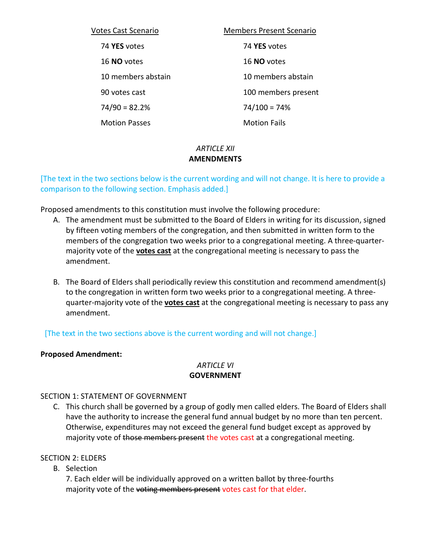| <b>Votes Cast Scenario</b> | <b>Members Present Scenario</b> |
|----------------------------|---------------------------------|
| 74 YES votes               | 74 YES votes                    |
| 16 NO votes                | 16 NO votes                     |
| 10 members abstain         | 10 members abstain              |
| 90 votes cast              | 100 members present             |
| $74/90 = 82.2%$            | $74/100 = 74%$                  |
| <b>Motion Passes</b>       | <b>Motion Fails</b>             |

# *ARTICLE XII* **AMENDMENTS**

[The text in the two sections below is the current wording and will not change. It is here to provide a comparison to the following section. Emphasis added.]

Proposed amendments to this constitution must involve the following procedure:

- A. The amendment must be submitted to the Board of Elders in writing for its discussion, signed by fifteen voting members of the congregation, and then submitted in written form to the members of the congregation two weeks prior to a congregational meeting. A three-quartermajority vote of the **votes cast** at the congregational meeting is necessary to pass the amendment.
- B. The Board of Elders shall periodically review this constitution and recommend amendment(s) to the congregation in written form two weeks prior to a congregational meeting. A threequarter-majority vote of the **votes cast** at the congregational meeting is necessary to pass any amendment.

[The text in the two sections above is the current wording and will not change.]

#### **Proposed Amendment:**

#### *ARTICLE VI* **GOVERNMENT**

# SECTION 1: STATEMENT OF GOVERNMENT

C. This church shall be governed by a group of godly men called elders. The Board of Elders shall have the authority to increase the general fund annual budget by no more than ten percent. Otherwise, expenditures may not exceed the general fund budget except as approved by majority vote of those members present the votes cast at a congregational meeting.

#### SECTION 2: ELDERS

B. Selection

7. Each elder will be individually approved on a written ballot by three-fourths majority vote of the voting members present votes cast for that elder.